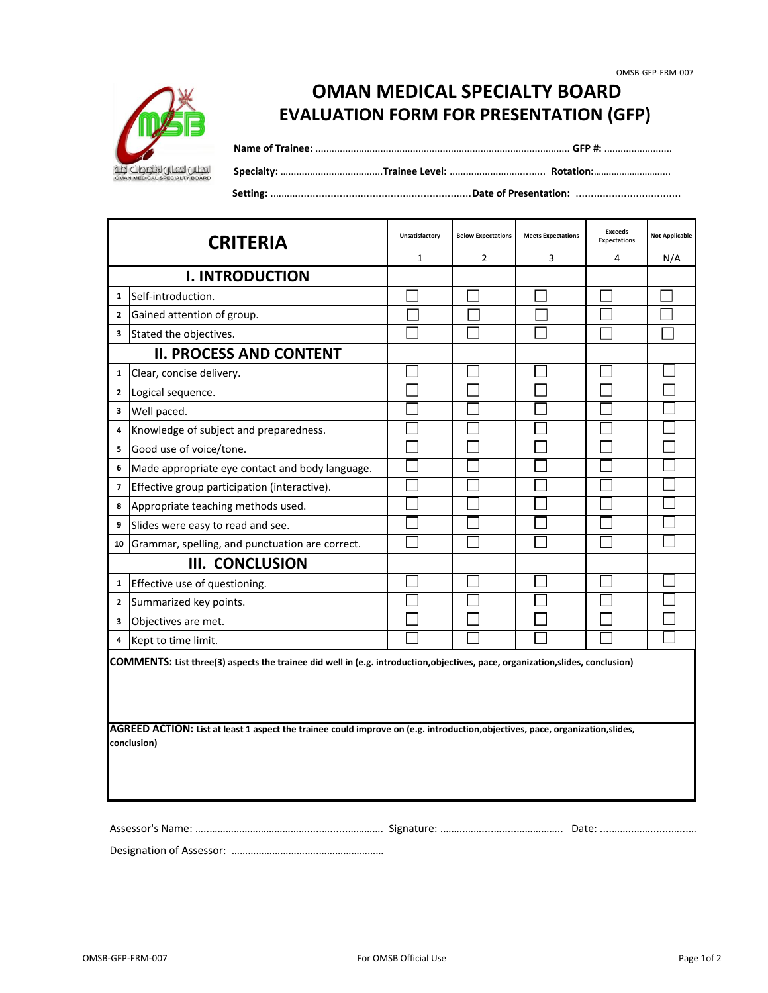| <b>CRITERIA</b>                                                                                                                               |                                                 | Unsatisfactory | <b>Below Expectations</b> | <b>Meets Expectations</b> | <b>Exceeds</b><br><b>Expectations</b> | <b>Not Applicable</b> |  |
|-----------------------------------------------------------------------------------------------------------------------------------------------|-------------------------------------------------|----------------|---------------------------|---------------------------|---------------------------------------|-----------------------|--|
|                                                                                                                                               |                                                 | 1              | $\overline{2}$            | 3                         | 4                                     | N/A                   |  |
| <b>I. INTRODUCTION</b>                                                                                                                        |                                                 |                |                           |                           |                                       |                       |  |
| 1                                                                                                                                             | Self-introduction.                              |                |                           |                           |                                       |                       |  |
| $\mathbf{2}$                                                                                                                                  | Gained attention of group.                      |                |                           |                           |                                       |                       |  |
| 3                                                                                                                                             | Stated the objectives.                          |                |                           |                           |                                       |                       |  |
|                                                                                                                                               | <b>II. PROCESS AND CONTENT</b>                  |                |                           |                           |                                       |                       |  |
| 1                                                                                                                                             | Clear, concise delivery.                        |                |                           |                           |                                       |                       |  |
| $\overline{2}$                                                                                                                                | Logical sequence.                               |                |                           |                           |                                       |                       |  |
| 3                                                                                                                                             | Well paced.                                     |                |                           |                           |                                       |                       |  |
| 4                                                                                                                                             | Knowledge of subject and preparedness.          |                |                           |                           |                                       |                       |  |
| 5                                                                                                                                             | Good use of voice/tone.                         |                |                           |                           |                                       |                       |  |
| 6                                                                                                                                             | Made appropriate eye contact and body language. |                |                           |                           |                                       |                       |  |
| 7                                                                                                                                             | Effective group participation (interactive).    |                |                           |                           |                                       |                       |  |
| 8                                                                                                                                             | Appropriate teaching methods used.              |                |                           |                           |                                       |                       |  |
| 9                                                                                                                                             | Slides were easy to read and see.               |                |                           |                           |                                       |                       |  |
| 10                                                                                                                                            | Grammar, spelling, and punctuation are correct. |                |                           |                           |                                       |                       |  |
| <b>III. CONCLUSION</b>                                                                                                                        |                                                 |                |                           |                           |                                       |                       |  |
| 1                                                                                                                                             | Effective use of questioning.                   |                |                           |                           |                                       |                       |  |
| $\mathbf{2}$                                                                                                                                  | Summarized key points.                          |                |                           |                           |                                       |                       |  |
| 3                                                                                                                                             | Objectives are met.                             |                |                           |                           |                                       |                       |  |
| 4                                                                                                                                             | Kept to time limit.                             |                |                           |                           |                                       |                       |  |
| COMMENTS: List three(3) aspects the trainee did well in (e.g. introduction, objectives, pace, organization, slides, conclusion)               |                                                 |                |                           |                           |                                       |                       |  |
| AGREED ACTION: List at least 1 aspect the trainee could improve on (e.g. introduction, objectives, pace, organization, slides,<br>conclusion) |                                                 |                |                           |                           |                                       |                       |  |

Designation of Assessor: …………………………..……………………

OMSB-GFP-FRM-007 **Example 2** For OMSB Official Use **Page 1of 2** Page 1of 2



Assessor's Name: …..……………………………….....…......…………. Signature: .……..……....….....…………….. Date: ....……..…….......…...………..



 **Specialty:** …...................................**Trainee Level:** ………………………...….. **Rotation:**…….…..…….…….....

## **EVALUATION FORM FOR PRESENTATION (GFP) OMAN MEDICAL SPECIALTY BOARD**

**Name of Trainee:** .............................................................................................. **GFP #:** .........................

 **Setting:** .………..........................................................**Date of Presentation:** ...................................